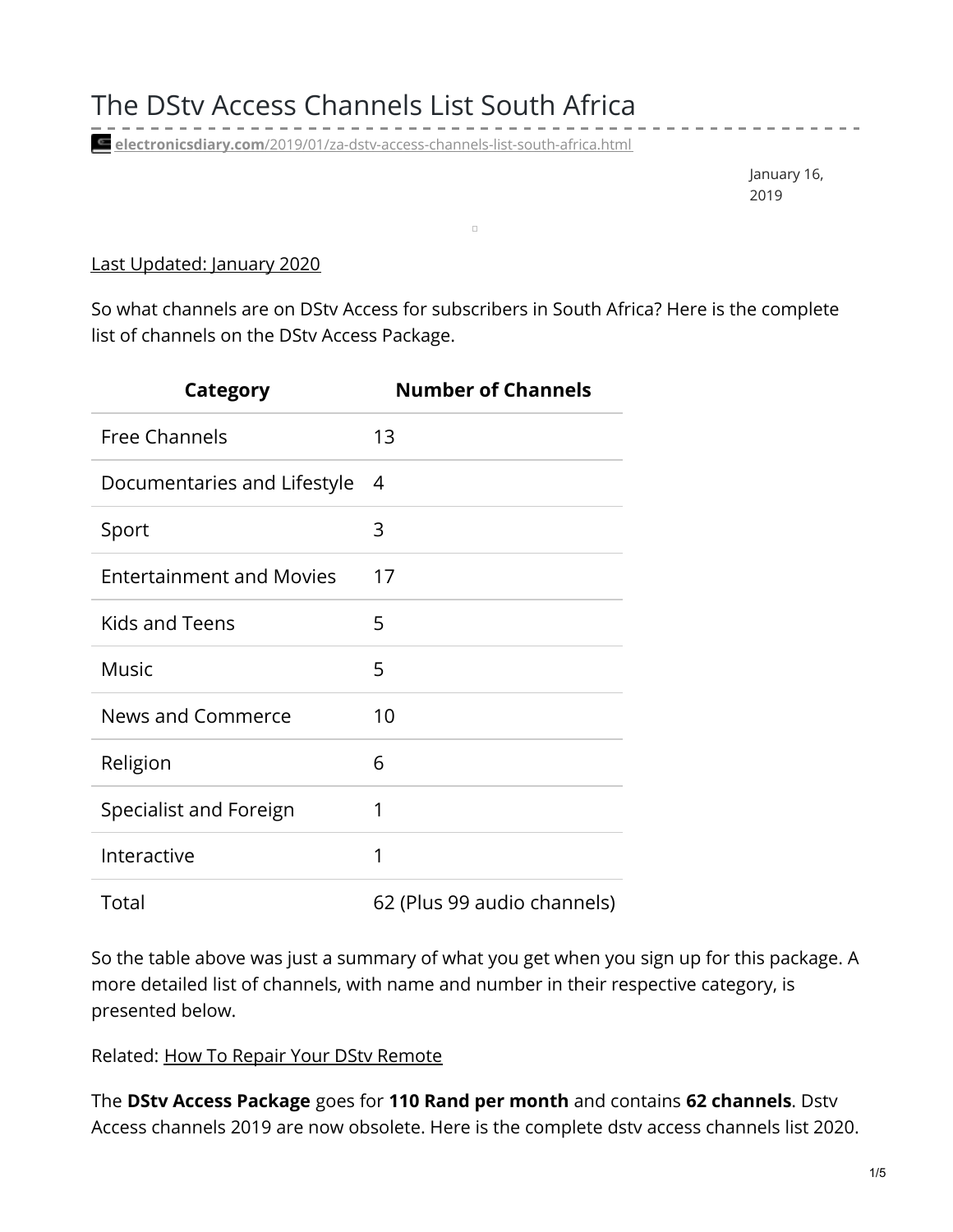**electronicsdiary.com**[/2019/01/za-dstv-access-channels-list-south-africa.html](https://www.electronicsdiary.com/2019/01/za-dstv-access-channels-list-south-africa.html)

January 16, 2019

-----------

## Last Updated: January 2020

So what channels are on DStv Access for subscribers in South Africa? Here is the complete list of channels on the DStv Access Package.

 $\Box$ 

| Category                        | <b>Number of Channels</b>   |
|---------------------------------|-----------------------------|
| <b>Free Channels</b>            | 13                          |
| Documentaries and Lifestyle     | 4                           |
| Sport                           | 3                           |
| <b>Entertainment and Movies</b> | 17                          |
| Kids and Teens                  | 5                           |
| <b>Music</b>                    | 5                           |
| <b>News and Commerce</b>        | 10                          |
| Religion                        | 6                           |
| Specialist and Foreign          | 1                           |
| Interactive                     | 1                           |
| Total                           | 62 (Plus 99 audio channels) |

So the table above was just a summary of what you get when you sign up for this package. A more detailed list of channels, with name and number in their respective category, is presented below.

Related: How To Repair Your DStv [Remote](https://www.electronicsdiary.com/2017/12/fix-dstv-remote-is-not-working.html)

The **DStv Access Package** goes for **110 Rand per month** and contains **62 channels**. Dstv Access channels 2019 are now obsolete. Here is the complete dstv access channels list 2020.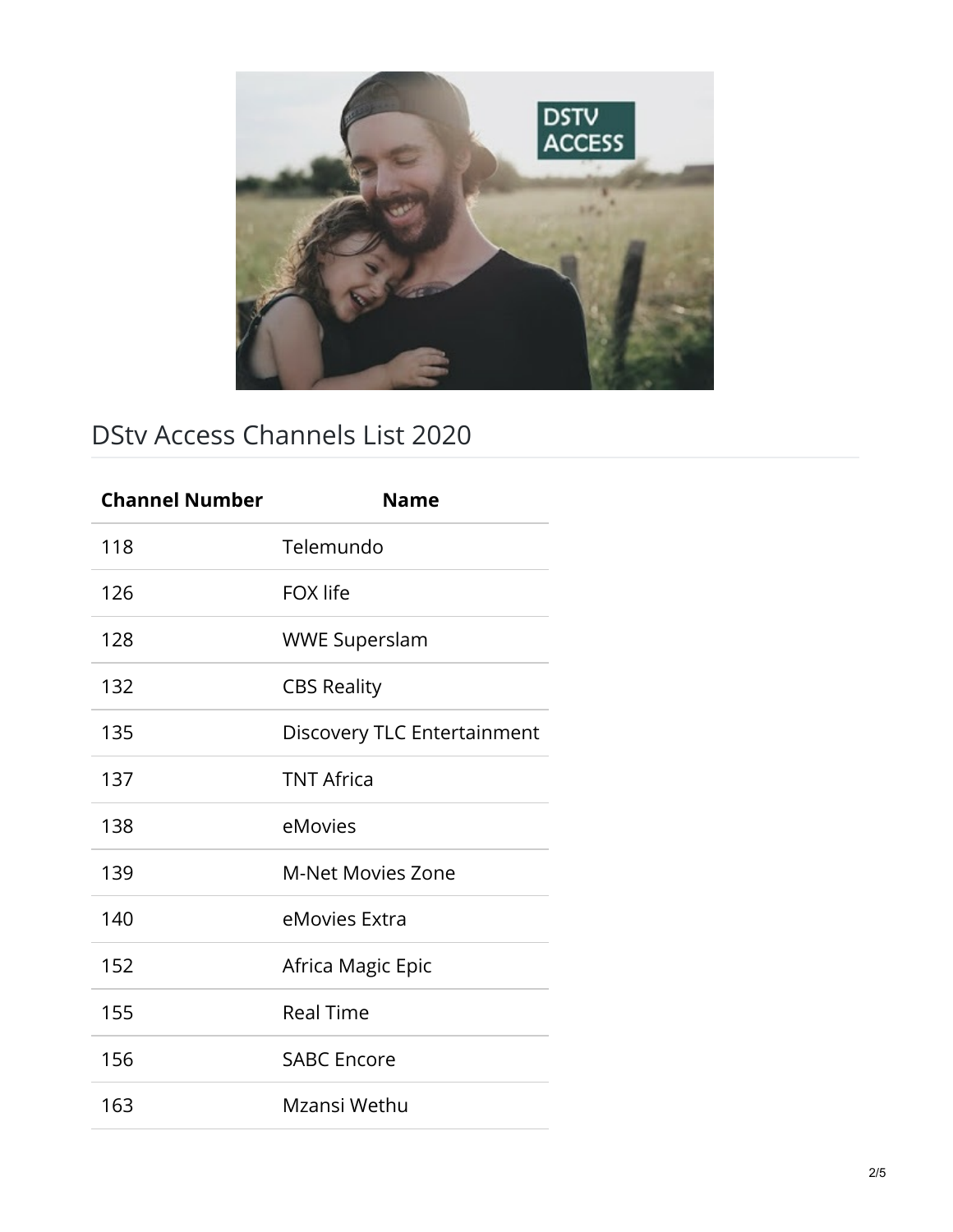

## DStv Access Channels List 2020

| <b>Channel Number</b> | <b>Name</b>                 |
|-----------------------|-----------------------------|
| 118                   | Telemundo                   |
| 126                   | <b>FOX</b> life             |
| 128                   | <b>WWE Superslam</b>        |
| 132                   | <b>CBS Reality</b>          |
| 135                   | Discovery TLC Entertainment |
| 137                   | <b>TNT Africa</b>           |
| 138                   | eMovies                     |
| 139                   | <b>M-Net Movies Zone</b>    |
| 140                   | eMovies Extra               |
| 152                   | Africa Magic Epic           |
| 155                   | <b>Real Time</b>            |
| 156                   | <b>SABC Encore</b>          |
| 163                   | Mzansi Wethu                |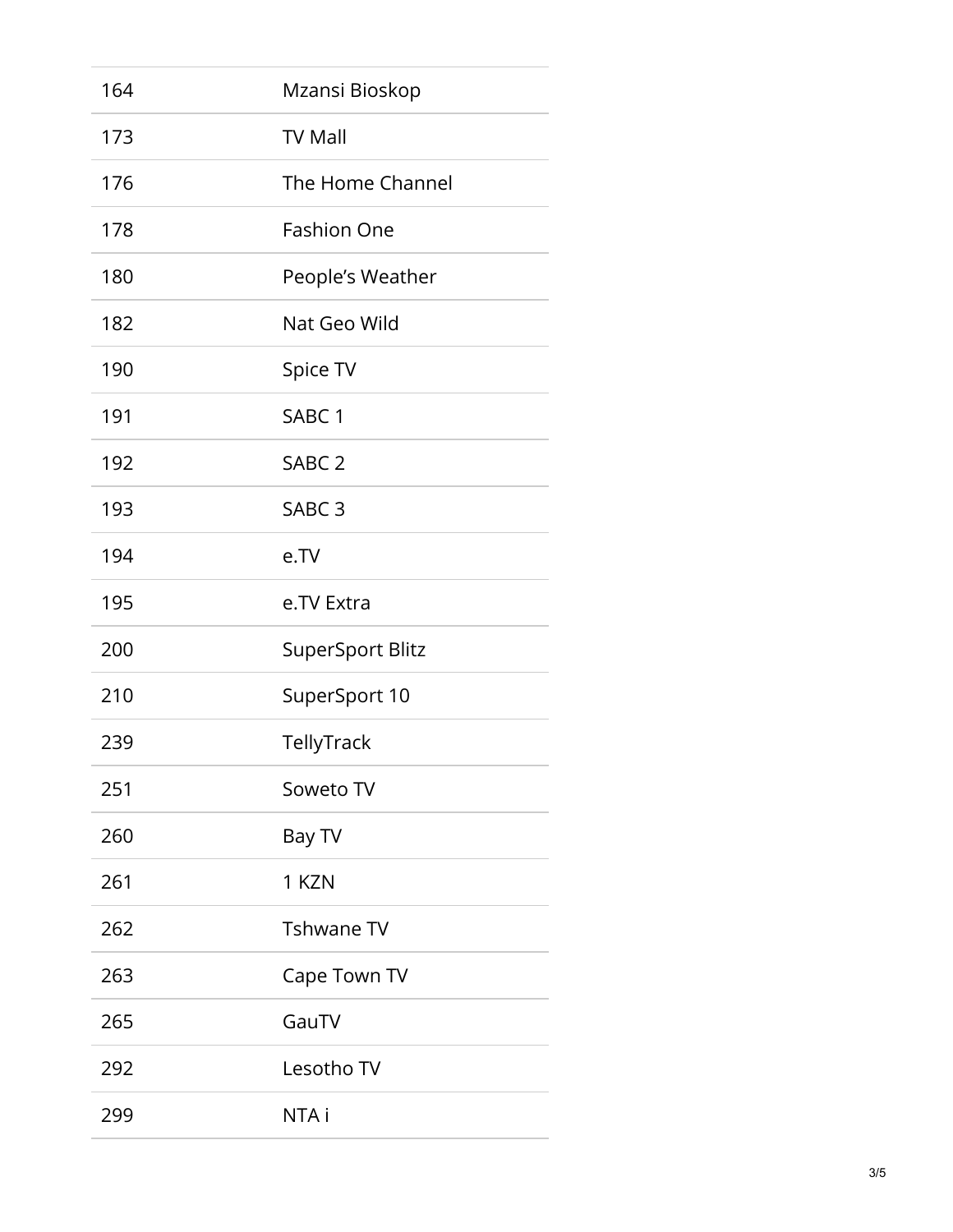| 164 | Mzansi Bioskop          |
|-----|-------------------------|
| 173 | <b>TV Mall</b>          |
| 176 | The Home Channel        |
| 178 | <b>Fashion One</b>      |
| 180 | People's Weather        |
| 182 | Nat Geo Wild            |
| 190 | Spice TV                |
| 191 | SABC <sub>1</sub>       |
| 192 | SABC <sub>2</sub>       |
| 193 | SABC <sub>3</sub>       |
| 194 | e.TV                    |
| 195 | e.TV Extra              |
| 200 | <b>SuperSport Blitz</b> |
| 210 | SuperSport 10           |
| 239 | TellyTrack              |
| 251 | Soweto TV               |
| 260 | Bay TV                  |
| 261 | 1 KZN                   |
| 262 | <b>Tshwane TV</b>       |
| 263 | Cape Town TV            |
| 265 | GauTV                   |
| 292 | Lesotho TV              |
| 299 | NTA i                   |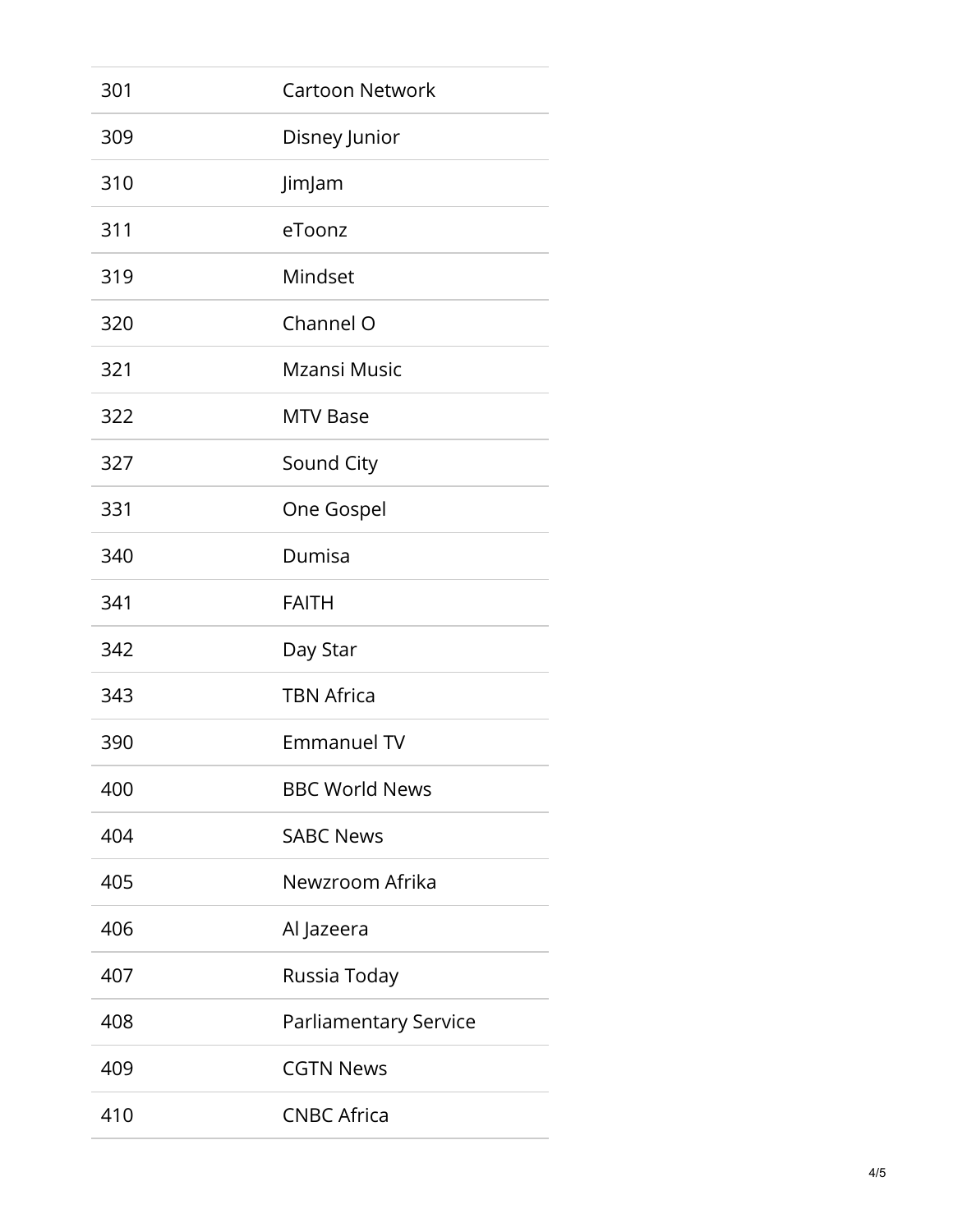| 301 | <b>Cartoon Network</b> |
|-----|------------------------|
| 309 | Disney Junior          |
| 310 | JimJam                 |
| 311 | eToonz                 |
| 319 | Mindset                |
| 320 | Channel O              |
| 321 | Mzansi Music           |
| 322 | <b>MTV Base</b>        |
| 327 | Sound City             |
| 331 | One Gospel             |
| 340 | Dumisa                 |
| 341 | <b>FAITH</b>           |
| 342 | Day Star               |
| 343 | <b>TBN Africa</b>      |
| 390 | <b>Emmanuel TV</b>     |
| 400 | <b>BBC World News</b>  |
| 404 | <b>SABC News</b>       |
| 405 | Newzroom Afrika        |
| 406 | Al Jazeera             |
| 407 | Russia Today           |
| 408 | Parliamentary Service  |
| 409 | <b>CGTN News</b>       |
| 410 | <b>CNBC Africa</b>     |